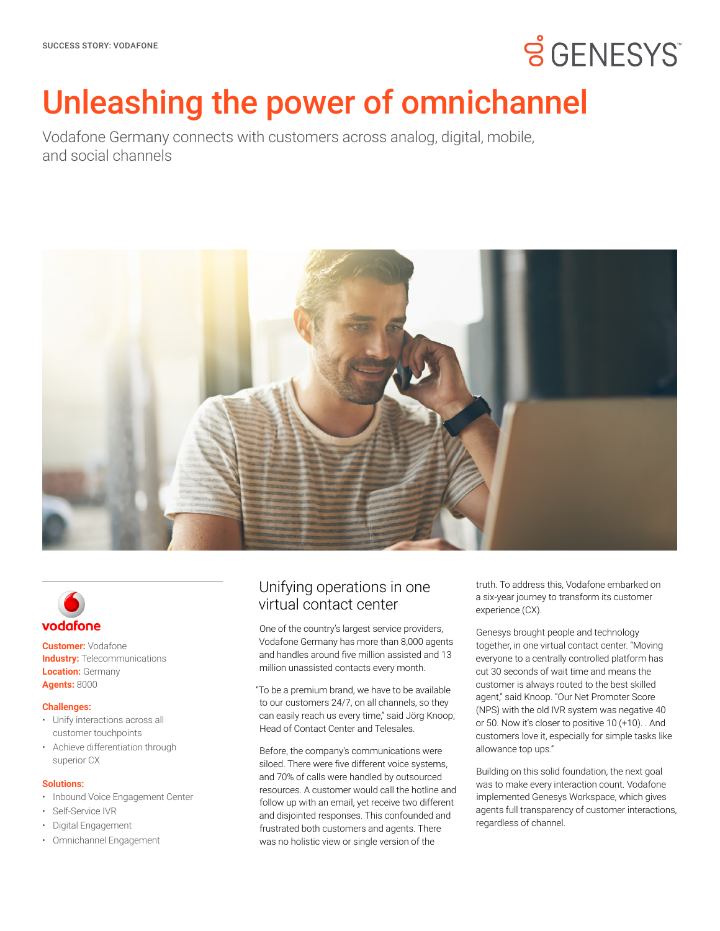# **SGENESYS**

# Unleashing the power of omnichannel

Vodafone Germany connects with customers across analog, digital, mobile, and social channels





**Customer:** Vodafone **Industry: Telecommunications Location: Germany Agents:** 8000

### **Challenges:**

- Unify interactions across all customer touchpoints
- Achieve differentiation through superior CX

### **Solutions:**

- Inbound Voice Engagement Center
- Self-Service IVR
- Digital Engagement
- Omnichannel Engagement

## Unifying operations in one virtual contact center

One of the country's largest service providers, Vodafone Germany has more than 8,000 agents and handles around five million assisted and 13 million unassisted contacts every month.

"To be a premium brand, we have to be available to our customers 24/7, on all channels, so they can easily reach us every time," said Jörg Knoop, Head of Contact Center and Telesales.

Before, the company's communications were siloed. There were five different voice systems, and 70% of calls were handled by outsourced resources. A customer would call the hotline and follow up with an email, yet receive two different and disjointed responses. This confounded and frustrated both customers and agents. There was no holistic view or single version of the

truth. To address this, Vodafone embarked on a six-year journey to transform its customer experience (CX).

Genesys brought people and technology together, in one virtual contact center. "Moving everyone to a centrally controlled platform has cut 30 seconds of wait time and means the customer is always routed to the best skilled agent," said Knoop. "Our Net Promoter Score (NPS) with the old IVR system was negative 40 or 50. Now it's closer to positive 10 (+10). . And customers love it, especially for simple tasks like allowance top ups."

Building on this solid foundation, the next goal was to make every interaction count. Vodafone implemented Genesys Workspace, which gives agents full transparency of customer interactions, regardless of channel.